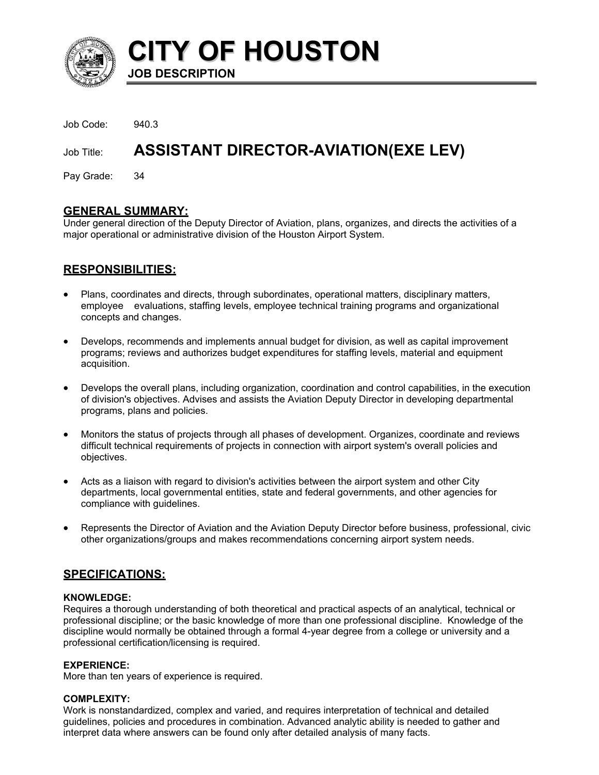

**CITY OF HOUSTON JOB DESCRIPTION** 

Job Code: 940.3

# Job Title: **ASSISTANT DIRECTOR-AVIATION(EXE LEV)**

Pay Grade: 34

# **GENERAL SUMMARY:**

Under general direction of the Deputy Director of Aviation, plans, organizes, and directs the activities of a major operational or administrative division of the Houston Airport System.

# **RESPONSIBILITIES:**

- Plans, coordinates and directs, through subordinates, operational matters, disciplinary matters, employee evaluations, staffing levels, employee technical training programs and organizational concepts and changes.
- Develops, recommends and implements annual budget for division, as well as capital improvement programs; reviews and authorizes budget expenditures for staffing levels, material and equipment acquisition.
- Develops the overall plans, including organization, coordination and control capabilities, in the execution of division's objectives. Advises and assists the Aviation Deputy Director in developing departmental programs, plans and policies.
- Monitors the status of projects through all phases of development. Organizes, coordinate and reviews difficult technical requirements of projects in connection with airport system's overall policies and objectives.
- Acts as a liaison with regard to division's activities between the airport system and other City departments, local governmental entities, state and federal governments, and other agencies for compliance with guidelines.
- Represents the Director of Aviation and the Aviation Deputy Director before business, professional, civic other organizations/groups and makes recommendations concerning airport system needs.

# **SPECIFICATIONS:**

# **KNOWLEDGE:**

Requires a thorough understanding of both theoretical and practical aspects of an analytical, technical or professional discipline; or the basic knowledge of more than one professional discipline. Knowledge of the discipline would normally be obtained through a formal 4-year degree from a college or university and a professional certification/licensing is required.

# **EXPERIENCE:**

More than ten years of experience is required.

# **COMPLEXITY:**

Work is nonstandardized, complex and varied, and requires interpretation of technical and detailed guidelines, policies and procedures in combination. Advanced analytic ability is needed to gather and interpret data where answers can be found only after detailed analysis of many facts.